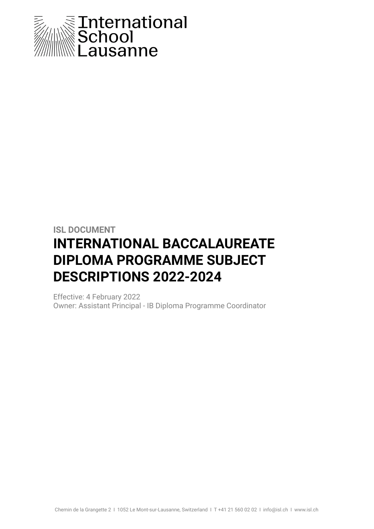

# **ISL DOCUMENT INTERNATIONAL BACCALAUREATE DIPLOMA PROGRAMME SUBJECT DESCRIPTIONS 2022-2024**

Effective: 4 February 2022 Owner: Assistant Principal - IB Diploma Programme Coordinator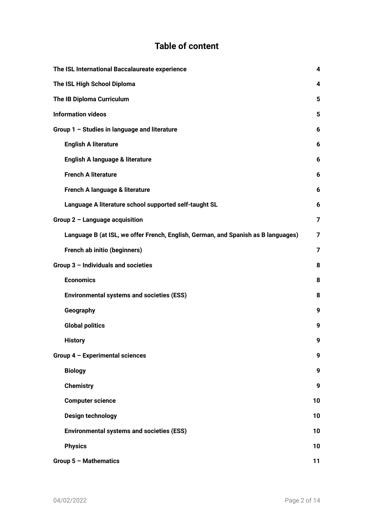# **Table of content**

| The ISL International Baccalaureate experience                                    | 4  |
|-----------------------------------------------------------------------------------|----|
| The ISL High School Diploma                                                       | 4  |
| The IB Diploma Curriculum                                                         | 5  |
| <b>Information videos</b>                                                         | 5  |
| Group 1 - Studies in language and literature                                      | 6  |
| <b>English A literature</b>                                                       | 6  |
| English A language & literature                                                   | 6  |
| <b>French A literature</b>                                                        | 6  |
| French A language & literature                                                    | 6  |
| Language A literature school supported self-taught SL                             | 6  |
| Group 2 - Language acquisition                                                    | 7  |
| Language B (at ISL, we offer French, English, German, and Spanish as B languages) | 7  |
| French ab initio (beginners)                                                      | 7  |
| Group 3 - Individuals and societies                                               | 8  |
| <b>Economics</b>                                                                  | 8  |
| <b>Environmental systems and societies (ESS)</b>                                  | 8  |
| Geography                                                                         | 9  |
| <b>Global politics</b>                                                            | 9  |
| <b>History</b>                                                                    | 9  |
| Group 4 - Experimental sciences                                                   | 9  |
| <b>Biology</b>                                                                    | 9  |
| <b>Chemistry</b>                                                                  | 9  |
| <b>Computer science</b>                                                           | 10 |
| <b>Design technology</b>                                                          | 10 |
| <b>Environmental systems and societies (ESS)</b>                                  | 10 |
| <b>Physics</b>                                                                    | 10 |
| Group 5 - Mathematics                                                             | 11 |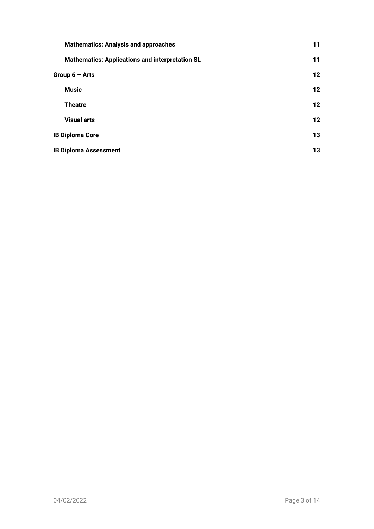| <b>Mathematics: Analysis and approaches</b>            | 11      |
|--------------------------------------------------------|---------|
| <b>Mathematics: Applications and interpretation SL</b> | 11      |
| Group $6 -$ Arts                                       | $12 \,$ |
| <b>Music</b>                                           | $12 \,$ |
| <b>Theatre</b>                                         | $12 \,$ |
| <b>Visual arts</b>                                     | $12 \,$ |
| <b>IB Diploma Core</b>                                 | 13      |
| <b>IB Diploma Assessment</b>                           | 13      |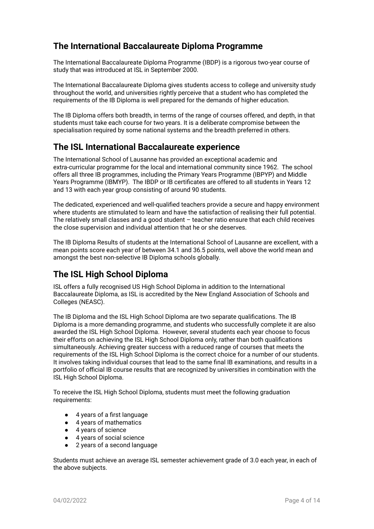# **The International Baccalaureate Diploma Programme**

The International Baccalaureate Diploma Programme (IBDP) is a rigorous two-year course of study that was introduced at ISL in September 2000.

The International Baccalaureate Diploma gives students access to college and university study throughout the world, and universities rightly perceive that a student who has completed the requirements of the IB Diploma is well prepared for the demands of higher education.

The IB Diploma offers both breadth, in terms of the range of courses offered, and depth, in that students must take each course for two years. It is a deliberate compromise between the specialisation required by some national systems and the breadth preferred in others.

# <span id="page-3-0"></span>**The ISL International Baccalaureate experience**

The International School of Lausanne has provided an exceptional academic and extra-curricular programme for the local and international community since 1962. The school offers all three IB programmes, including the Primary Years Programme (IBPYP) and Middle Years Programme (IBMYP). The IBDP or IB certificates are offered to all students in Years 12 and 13 with each year group consisting of around 90 students.

The dedicated, experienced and well-qualified teachers provide a secure and happy environment where students are stimulated to learn and have the satisfaction of realising their full potential. The relatively small classes and a good student – teacher ratio ensure that each child receives the close supervision and individual attention that he or she deserves.

The IB Diploma Results of students at the International School of Lausanne are excellent, with a mean points score each year of between 34.1 and 36.5 points, well above the world mean and amongst the best non-selective IB Diploma schools globally.

# <span id="page-3-1"></span>**The ISL High School Diploma**

ISL offers a fully recognised US High School Diploma in addition to the International Baccalaureate Diploma, as ISL is accredited by the New England Association of Schools and Colleges (NEASC).

The IB Diploma and the ISL High School Diploma are two separate qualifications. The IB Diploma is a more demanding programme, and students who successfully complete it are also awarded the ISL High School Diploma. However, several students each year choose to focus their efforts on achieving the ISL High School Diploma only, rather than both qualifications simultaneously. Achieving greater success with a reduced range of courses that meets the requirements of the ISL High School Diploma is the correct choice for a number of our students. It involves taking individual courses that lead to the same final IB examinations, and results in a portfolio of official IB course results that are recognized by universities in combination with the ISL High School Diploma.

To receive the ISL High School Diploma, students must meet the following graduation requirements:

- 4 years of a first language
- 4 years of mathematics
- 4 years of science
- 4 years of social science
- 2 years of a second language

Students must achieve an average ISL semester achievement grade of 3.0 each year, in each of the above subjects.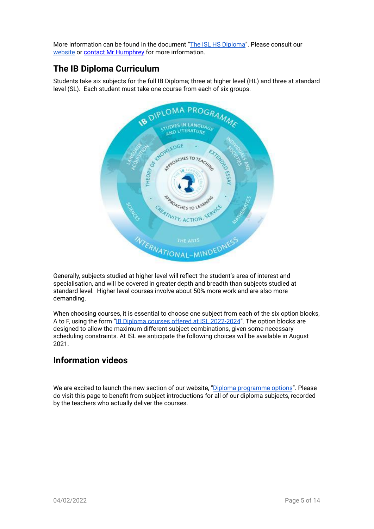More information can be found in the document "The ISL HS [Diploma"](https://docs.google.com/document/d/e/2PACX-1vTU-907SCLQVtpQrIOUP2zdtcGQ54TJFCiHJwzyaTE8JZJBNkVQKLbZa7pB3tT8V4M1IaPUIDs9pyh2/pub). Please consult our [website](https://www.isl.ch/learn/high-school/high-school-diploma/) or contact Mr [Humphrey](mailto:dpcoordinator@isl.ch) for more information.

# <span id="page-4-0"></span>**The IB Diploma Curriculum**

Students take six subjects for the full IB Diploma; three at higher level (HL) and three at standard level (SL). Each student must take one course from each of six groups.



Generally, subjects studied at higher level will reflect the student's area of interest and specialisation, and will be covered in greater depth and breadth than subjects studied at standard level. Higher level courses involve about 50% more work and are also more demanding.

When choosing courses, it is essential to choose one subject from each of the six option blocks, A to F, using the form "IB Diploma courses offered at ISL [2022-2024](https://docs.google.com/document/d/e/2PACX-1vRej7q3Rp-Yx8CauX3bVJtG2LLlaGW7Thxnha-ogQDpkneUfheolgSvR0ziDrTKcCa7TYRWIMoCAfwl/pub)". The option blocks are designed to allow the maximum different subject combinations, given some necessary scheduling constraints. At ISL we anticipate the following choices will be available in August 2021.

# <span id="page-4-1"></span>**Information videos**

We are excited to launch the new section of our website, "Diploma [programme](https://www.isl.ch/diploma-programme-options/) options". Please do visit this page to benefit from subject introductions for all of our diploma subjects, recorded by the teachers who actually deliver the courses.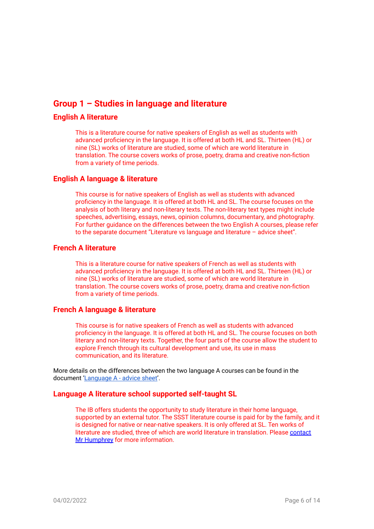# <span id="page-5-0"></span>**Group 1 – Studies in language and literature**

### <span id="page-5-1"></span>**English A literature**

This is a literature course for native speakers of English as well as students with advanced proficiency in the language. It is offered at both HL and SL. Thirteen (HL) or nine (SL) works of literature are studied, some of which are world literature in translation. The course covers works of prose, poetry, drama and creative non-fiction from a variety of time periods.

### <span id="page-5-2"></span>**English A language & literature**

This course is for native speakers of English as well as students with advanced proficiency in the language. It is offered at both HL and SL. The course focuses on the analysis of both literary and non-literary texts. The non-literary text types might include speeches, advertising, essays, news, opinion columns, documentary, and photography. For further guidance on the differences between the two English A courses, please refer to the separate document "Literature vs language and literature – advice sheet".

### <span id="page-5-3"></span>**French A literature**

This is a literature course for native speakers of French as well as students with advanced proficiency in the language. It is offered at both HL and SL. Thirteen (HL) or nine (SL) works of literature are studied, some of which are world literature in translation. The course covers works of prose, poetry, drama and creative non-fiction from a variety of time periods.

#### <span id="page-5-4"></span>**French A language & literature**

This course is for native speakers of French as well as students with advanced proficiency in the language. It is offered at both HL and SL. The course focuses on both literary and non-literary texts. Together, the four parts of the course allow the student to explore French through its cultural development and use, its use in mass communication, and its literature.

More details on the differences between the two language A courses can be found in the document ['Language](https://docs.google.com/document/d/e/2PACX-1vRg-Crcf6S1bmyEP6y33kHCaadl34Ng2rCg8GUprMLjCFt3xk4gYrDVXeZeIVXL6CslP821J-qv7_3I/pub) A - advice sheet'.

### <span id="page-5-5"></span>**Language A literature school supported self-taught SL**

The IB offers students the opportunity to study literature in their home language, supported by an external tutor. The SSST literature course is paid for by the family, and it is designed for native or near-native speakers. It is only offered at SL. Ten works of literature are studied, three of which are world literature in translation. Please [contact](mailto:dpcoordinator@isl.ch) Mr [Humphrey](mailto:dpcoordinator@isl.ch) for more information.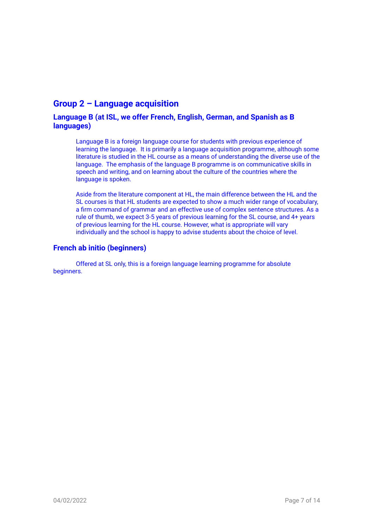# <span id="page-6-0"></span>**Group 2 – Language acquisition**

### <span id="page-6-1"></span>**Language B (at ISL, we offer French, English, German, and Spanish as B languages)**

Language B is a foreign language course for students with previous experience of learning the language. It is primarily a language acquisition programme, although some literature is studied in the HL course as a means of understanding the diverse use of the language. The emphasis of the language B programme is on communicative skills in speech and writing, and on learning about the culture of the countries where the language is spoken.

Aside from the literature component at HL, the main difference between the HL and the SL courses is that HL students are expected to show a much wider range of vocabulary, a firm command of grammar and an effective use of complex sentence structures. As a rule of thumb, we expect 3-5 years of previous learning for the SL course, and 4+ years of previous learning for the HL course. However, what is appropriate will vary individually and the school is happy to advise students about the choice of level.

### <span id="page-6-2"></span>**French ab initio (beginners)**

Offered at SL only, this is a foreign language learning programme for absolute beginners.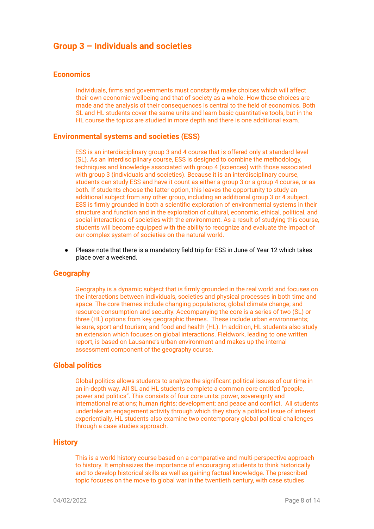## <span id="page-7-0"></span>**Group 3 – Individuals and societies**

#### <span id="page-7-1"></span>**Economics**

Individuals, firms and governments must constantly make choices which will affect their own economic wellbeing and that of society as a whole. How these choices are made and the analysis of their consequences is central to the field of economics. Both SL and HL students cover the same units and learn basic quantitative tools, but in the HL course the topics are studied in more depth and there is one additional exam.

### <span id="page-7-2"></span>**Environmental systems and societies (ESS)**

ESS is an interdisciplinary group 3 and 4 course that is offered only at standard level (SL). As an interdisciplinary course, ESS is designed to combine the methodology, techniques and knowledge associated with group 4 (sciences) with those associated with group 3 (individuals and societies). Because it is an interdisciplinary course, students can study ESS and have it count as either a group 3 or a group 4 course, or as both. If students choose the latter option, this leaves the opportunity to study an additional subject from any other group, including an additional group 3 or 4 subject. ESS is firmly grounded in both a scientific exploration of environmental systems in their structure and function and in the exploration of cultural, economic, ethical, political, and social interactions of societies with the environment. As a result of studying this course, students will become equipped with the ability to recognize and evaluate the impact of our complex system of societies on the natural world.

Please note that there is a mandatory field trip for ESS in June of Year 12 which takes place over a weekend.

#### <span id="page-7-3"></span>**Geography**

Geography is a dynamic subject that is firmly grounded in the real world and focuses on the interactions between individuals, societies and physical processes in both time and space. The core themes include changing populations; global climate change; and resource consumption and security. Accompanying the core is a series of two (SL) or three (HL) options from key geographic themes. These include urban environments; leisure, sport and tourism; and food and health (HL). In addition, HL students also study an extension which focuses on global interactions. Fieldwork, leading to one written report, is based on Lausanne's urban environment and makes up the internal assessment component of the geography course.

#### <span id="page-7-4"></span>**Global politics**

Global politics allows students to analyze the significant political issues of our time in an in-depth way. All SL and HL students complete a common core entitled "people, power and politics". This consists of four core units: power, sovereignty and international relations; human rights; development; and peace and conflict. All students undertake an engagement activity through which they study a political issue of interest experientially. HL students also examine two contemporary global political challenges through a case studies approach.

#### <span id="page-7-5"></span>**History**

This is a world history course based on a comparative and multi-perspective approach to history. It emphasizes the importance of encouraging students to think historically and to develop historical skills as well as gaining factual knowledge. The prescribed topic focuses on the move to global war in the twentieth century, with case studies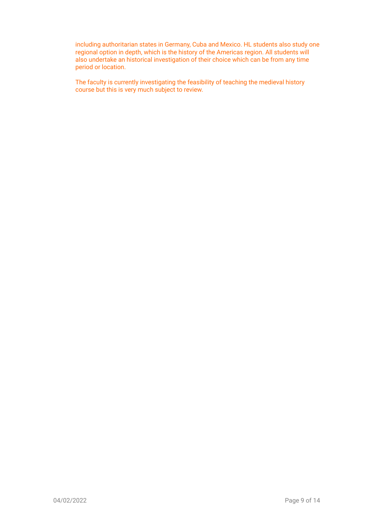including authoritarian states in Germany, Cuba and Mexico. HL students also study one regional option in depth, which is the history of the Americas region. All students will also undertake an historical investigation of their choice which can be from any time period or location.

<span id="page-8-0"></span>The faculty is currently investigating the feasibility of teaching the medieval history course but this is very much subject to review.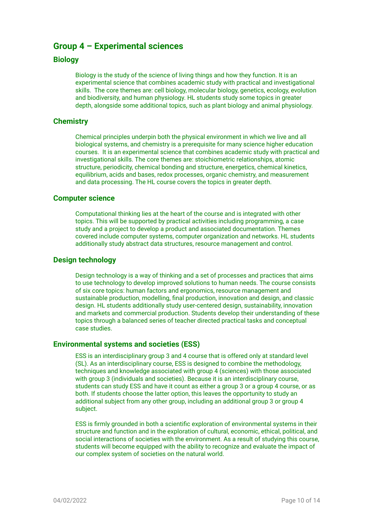# **Group 4 – Experimental sciences**

### <span id="page-9-0"></span>**Biology**

Biology is the study of the science of living things and how they function. It is an experimental science that combines academic study with practical and investigational skills. The core themes are: cell biology, molecular biology, genetics, ecology, evolution and biodiversity, and human physiology. HL students study some topics in greater depth, alongside some additional topics, such as plant biology and animal physiology.

### <span id="page-9-1"></span>**Chemistry**

Chemical principles underpin both the physical environment in which we live and all biological systems, and chemistry is a prerequisite for many science higher education courses. It is an experimental science that combines academic study with practical and investigational skills. The core themes are: stoichiometric relationships, atomic structure, periodicity, chemical bonding and structure, energetics, chemical kinetics, equilibrium, acids and bases, redox processes, organic chemistry, and measurement and data processing. The HL course covers the topics in greater depth.

#### <span id="page-9-2"></span>**Computer science**

Computational thinking lies at the heart of the course and is integrated with other topics. This will be supported by practical activities including programming, a case study and a project to develop a product and associated documentation. Themes covered include computer systems, computer organization and networks. HL students additionally study abstract data structures, resource management and control.

### <span id="page-9-3"></span>**Design technology**

Design technology is a way of thinking and a set of processes and practices that aims to use technology to develop improved solutions to human needs. The course consists of six core topics: human factors and ergonomics, resource management and sustainable production, modelling, final production, innovation and design, and classic design. HL students additionally study user-centered design, sustainability, innovation and markets and commercial production. Students develop their understanding of these topics through a balanced series of teacher directed practical tasks and conceptual case studies.

### <span id="page-9-4"></span>**Environmental systems and societies (ESS)**

ESS is an interdisciplinary group 3 and 4 course that is offered only at standard level (SL). As an interdisciplinary course, ESS is designed to combine the methodology, techniques and knowledge associated with group 4 (sciences) with those associated with group 3 (individuals and societies). Because it is an interdisciplinary course, students can study ESS and have it count as either a group 3 or a group 4 course, or as both. If students choose the latter option, this leaves the opportunity to study an additional subject from any other group, including an additional group 3 or group 4 subject.

ESS is firmly grounded in both a scientific exploration of environmental systems in their structure and function and in the exploration of cultural, economic, ethical, political, and social interactions of societies with the environment. As a result of studying this course, students will become equipped with the ability to recognize and evaluate the impact of our complex system of societies on the natural world.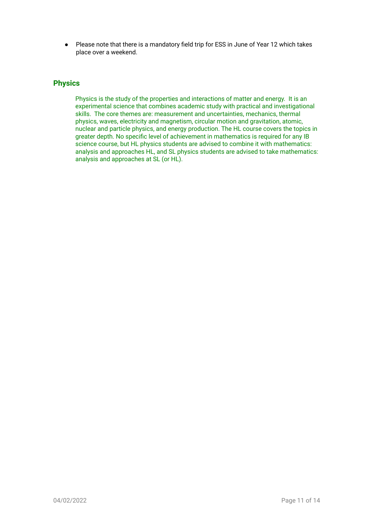Please note that there is a mandatory field trip for ESS in June of Year 12 which takes place over a weekend.

### <span id="page-10-0"></span>**Physics**

Physics is the study of the properties and interactions of matter and energy. It is an experimental science that combines academic study with practical and investigational skills. The core themes are: measurement and uncertainties, mechanics, thermal physics, waves, electricity and magnetism, circular motion and gravitation, atomic, nuclear and particle physics, and energy production. The HL course covers the topics in greater depth. No specific level of achievement in mathematics is required for any IB science course, but HL physics students are advised to combine it with mathematics: analysis and approaches HL, and SL physics students are advised to take mathematics: analysis and approaches at SL (or HL).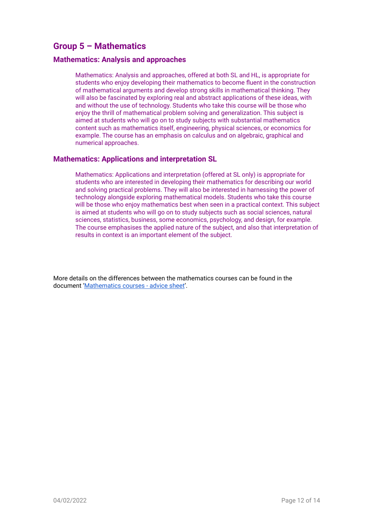# <span id="page-11-0"></span>**Group 5 – Mathematics**

### <span id="page-11-1"></span>**Mathematics: Analysis and approaches**

Mathematics: Analysis and approaches, offered at both SL and HL, is appropriate for students who enjoy developing their mathematics to become fluent in the construction of mathematical arguments and develop strong skills in mathematical thinking. They will also be fascinated by exploring real and abstract applications of these ideas, with and without the use of technology. Students who take this course will be those who enjoy the thrill of mathematical problem solving and generalization. This subject is aimed at students who will go on to study subjects with substantial mathematics content such as mathematics itself, engineering, physical sciences, or economics for example. The course has an emphasis on calculus and on algebraic, graphical and numerical approaches.

### <span id="page-11-2"></span>**Mathematics: Applications and interpretation SL**

Mathematics: Applications and interpretation (offered at SL only) is appropriate for students who are interested in developing their mathematics for describing our world and solving practical problems. They will also be interested in harnessing the power of technology alongside exploring mathematical models. Students who take this course will be those who enjoy mathematics best when seen in a practical context. This subject is aimed at students who will go on to study subjects such as social sciences, natural sciences, statistics, business, some economics, psychology, and design, for example. The course emphasises the applied nature of the subject, and also that interpretation of results in context is an important element of the subject.

More details on the differences between the mathematics courses can be found in the document ['Mathematics](https://docs.google.com/document/d/e/2PACX-1vQeGTLU8_SzSjpCKvc-bMPbzi7YERnr8yVZGi4PMhoaK5v0cV1CPWkoYBKyzEBW1Yjrvcg13ws-EAZf/pub) courses - advice sheet'.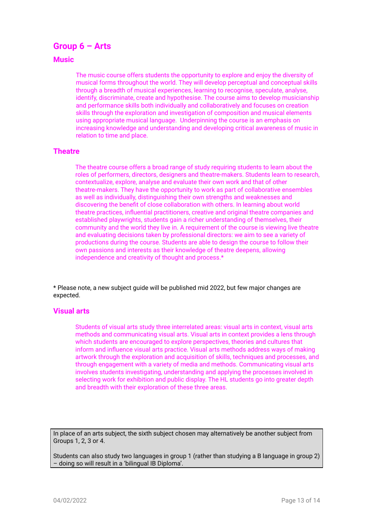## <span id="page-12-0"></span>**Group 6 – Arts**

### <span id="page-12-1"></span>**Music**

The music course offers students the opportunity to explore and enjoy the diversity of musical forms throughout the world. They will develop perceptual and conceptual skills through a breadth of musical experiences, learning to recognise, speculate, analyse, identify, discriminate, create and hypothesise. The course aims to develop musicianship and performance skills both individually and collaboratively and focuses on creation skills through the exploration and investigation of composition and musical elements using appropriate musical language. Underpinning the course is an emphasis on increasing knowledge and understanding and developing critical awareness of music in relation to time and place.

#### <span id="page-12-2"></span>**Theatre**

The theatre course offers a broad range of study requiring students to learn about the roles of performers, directors, designers and theatre-makers. Students learn to research, contextualize, explore, analyse and evaluate their own work and that of other theatre-makers. They have the opportunity to work as part of collaborative ensembles as well as individually, distinguishing their own strengths and weaknesses and discovering the benefit of close collaboration with others. In learning about world theatre practices, influential practitioners, creative and original theatre companies and established playwrights, students gain a richer understanding of themselves, their community and the world they live in. A requirement of the course is viewing live theatre and evaluating decisions taken by professional directors: we aim to see a variety of productions during the course. Students are able to design the course to follow their own passions and interests as their knowledge of theatre deepens, allowing independence and creativity of thought and process.\*

\* Please note, a new subject guide will be published mid 2022, but few major changes are expected.

#### <span id="page-12-3"></span>**Visual arts**

Students of visual arts study three interrelated areas: visual arts in context, visual arts methods and communicating visual arts. Visual arts in context provides a lens through which students are encouraged to explore perspectives, theories and cultures that inform and influence visual arts practice. Visual arts methods address ways of making artwork through the exploration and acquisition of skills, techniques and processes, and through engagement with a variety of media and methods. Communicating visual arts involves students investigating, understanding and applying the processes involved in selecting work for exhibition and public display. The HL students go into greater depth and breadth with their exploration of these three areas.

In place of an arts subject, the sixth subject chosen may alternatively be another subject from Groups 1, 2, 3 or 4.

Students can also study two languages in group 1 (rather than studying a B language in group 2) – doing so will result in a 'bilingual IB Diploma'.